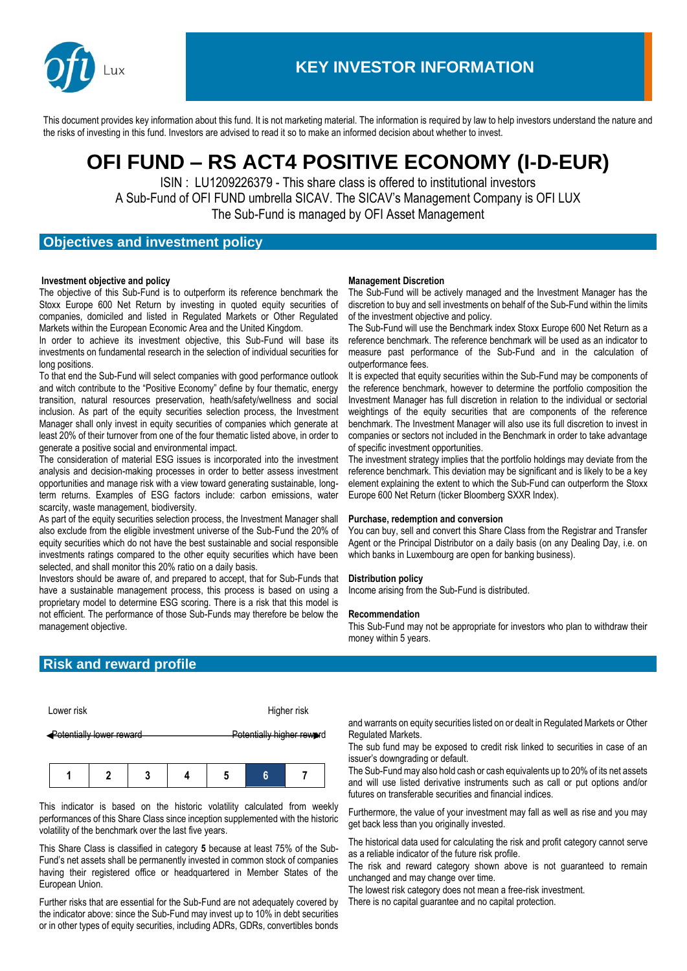

This document provides key information about this fund. It is not marketing material. The information is required by law to help investors understand the nature and the risks of investing in this fund. Investors are advised to read it so to make an informed decision about whether to invest.

# **OFI FUND – RS ACT4 POSITIVE ECONOMY (I-D-EUR)**

ISIN : LU1209226379 - This share class is offered to institutional investors A Sub-Fund of OFI FUND umbrella SICAV. The SICAV's Management Company is OFI LUX The Sub-Fund is managed by OFI Asset Management

## **Objectives and investment policy**

#### **Investment objective and policy**

The objective of this Sub-Fund is to outperform its reference benchmark the Stoxx Europe 600 Net Return by investing in quoted equity securities of companies, domiciled and listed in Regulated Markets or Other Regulated Markets within the European Economic Area and the United Kingdom.

In order to achieve its investment objective, this Sub-Fund will base its investments on fundamental research in the selection of individual securities for long positions.

To that end the Sub-Fund will select companies with good performance outlook and witch contribute to the "Positive Economy" define by four thematic, energy transition, natural resources preservation, heath/safety/wellness and social inclusion. As part of the equity securities selection process, the Investment Manager shall only invest in equity securities of companies which generate at least 20% of their turnover from one of the four thematic listed above, in order to generate a positive social and environmental impact.

The consideration of material ESG issues is incorporated into the investment analysis and decision-making processes in order to better assess investment opportunities and manage risk with a view toward generating sustainable, longterm returns. Examples of ESG factors include: carbon emissions, water scarcity, waste management, biodiversity.

As part of the equity securities selection process, the Investment Manager shall also exclude from the eligible investment universe of the Sub-Fund the 20% of equity securities which do not have the best sustainable and social responsible investments ratings compared to the other equity securities which have been selected, and shall monitor this 20% ratio on a daily basis.

Investors should be aware of, and prepared to accept, that for Sub-Funds that have a sustainable management process, this process is based on using a proprietary model to determine ESG scoring. There is a risk that this model is not efficient. The performance of those Sub-Funds may therefore be below the management objective.

### **Management Discretion**

The Sub-Fund will be actively managed and the Investment Manager has the discretion to buy and sell investments on behalf of the Sub-Fund within the limits of the investment objective and policy.

The Sub-Fund will use the Benchmark index Stoxx Europe 600 Net Return as a reference benchmark. The reference benchmark will be used as an indicator to measure past performance of the Sub-Fund and in the calculation of outperformance fees.

It is expected that equity securities within the Sub-Fund may be components of the reference benchmark, however to determine the portfolio composition the Investment Manager has full discretion in relation to the individual or sectorial weightings of the equity securities that are components of the reference benchmark. The Investment Manager will also use its full discretion to invest in companies or sectors not included in the Benchmark in order to take advantage of specific investment opportunities.

The investment strategy implies that the portfolio holdings may deviate from the reference benchmark. This deviation may be significant and is likely to be a key element explaining the extent to which the Sub-Fund can outperform the Stoxx Europe 600 Net Return (ticker Bloomberg SXXR Index).

#### **Purchase, redemption and conversion**

You can buy, sell and convert this Share Class from the Registrar and Transfer Agent or the Principal Distributor on a daily basis (on any Dealing Day, i.e. on which banks in Luxembourg are open for banking business).

#### **Distribution policy**

Income arising from the Sub-Fund is distributed.

#### **Recommendation**

This Sub-Fund may not be appropriate for investors who plan to withdraw their money within 5 years.

## **Risk and reward profile**

| Lower risk               | Higher risk                      |
|--------------------------|----------------------------------|
| Potentially lower reward | <b>Potentially higher reward</b> |

|--|--|--|--|--|

This indicator is based on the historic volatility calculated from weekly performances of this Share Class since inception supplemented with the historic volatility of the benchmark over the last five years.

This Share Class is classified in category **5** because at least 75% of the Sub-Fund's net assets shall be permanently invested in common stock of companies having their registered office or headquartered in Member States of the European Union.

Further risks that are essential for the Sub-Fund are not adequately covered by the indicator above: since the Sub-Fund may invest up to 10% in debt securities or in other types of equity securities, including ADRs, GDRs, convertibles bonds and warrants on equity securities listed on or dealt in Regulated Markets or Other Regulated Markets.

The sub fund may be exposed to credit risk linked to securities in case of an issuer's downgrading or default.

The Sub-Fund may also hold cash or cash equivalents up to 20% of its net assets and will use listed derivative instruments such as call or put options and/or futures on transferable securities and financial indices.

Furthermore, the value of your investment may fall as well as rise and you may get back less than you originally invested.

The historical data used for calculating the risk and profit category cannot serve as a reliable indicator of the future risk profile.

The risk and reward category shown above is not guaranteed to remain unchanged and may change over time.

The lowest risk category does not mean a free-risk investment. There is no capital guarantee and no capital protection.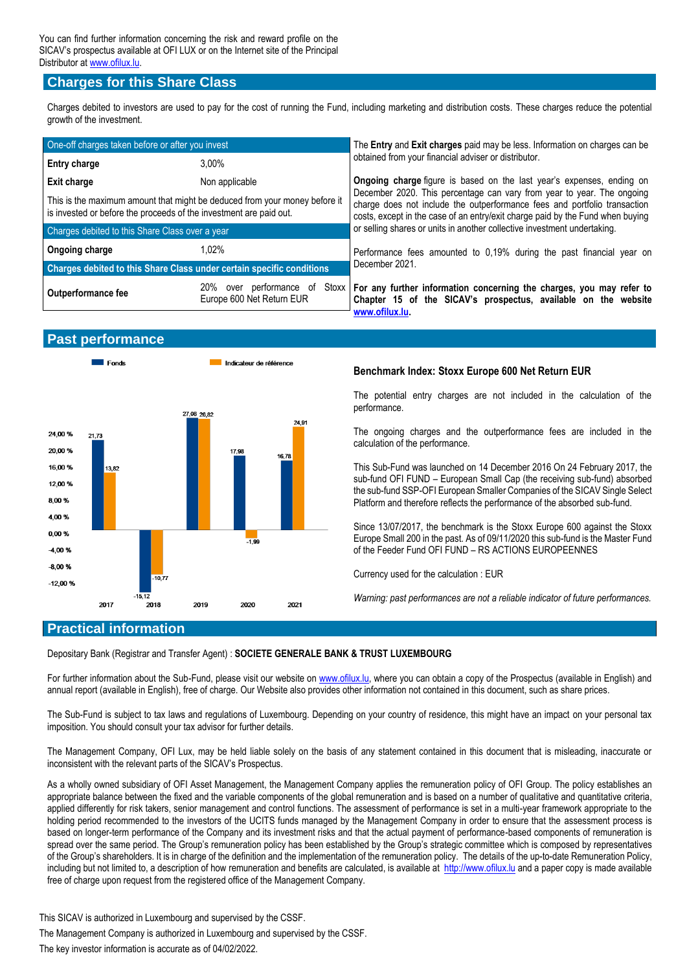## **Charges for this Share Class**

Charges debited to investors are used to pay for the cost of running the Fund, including marketing and distribution costs. These charges reduce the potential growth of the investment.

| One-off charges taken before or after you invest                                                                                                 |                           | The Entry and Exit charges paid may be less. Information on charges can be                                                                                                                                                            |  |
|--------------------------------------------------------------------------------------------------------------------------------------------------|---------------------------|---------------------------------------------------------------------------------------------------------------------------------------------------------------------------------------------------------------------------------------|--|
| <b>Entry charge</b>                                                                                                                              | $3.00\%$                  | obtained from your financial adviser or distributor.                                                                                                                                                                                  |  |
| <b>Exit charge</b>                                                                                                                               | Non applicable            | <b>Ongoing charge figure is based on the last year's expenses, ending on</b>                                                                                                                                                          |  |
| This is the maximum amount that might be deduced from your money before it<br>is invested or before the proceeds of the investment are paid out. |                           | December 2020. This percentage can vary from year to year. The ongoing<br>charge does not include the outperformance fees and portfolio transaction<br>costs, except in the case of an entry/exit charge paid by the Fund when buying |  |
| Charges debited to this Share Class over a year                                                                                                  |                           | or selling shares or units in another collective investment undertaking.                                                                                                                                                              |  |
| Ongoing charge                                                                                                                                   | 1.02%                     | Performance fees amounted to 0,19% during the past financial year on                                                                                                                                                                  |  |
| Charges debited to this Share Class under certain specific conditions                                                                            |                           | December 2021.                                                                                                                                                                                                                        |  |
| <b>Outperformance fee</b>                                                                                                                        | Europe 600 Net Return EUR | 20% over performance of Stoxx   For any further information concerning the charges, you may refer to<br>Chapter 15 of the SICAV's prospectus, available on the website<br>www.ofilux.lu.                                              |  |

## **Past performance**



## **Benchmark Index: Stoxx Europe 600 Net Return EUR**

The potential entry charges are not included in the calculation of the performance.

The ongoing charges and the outperformance fees are included in the calculation of the performance.

This Sub-Fund was launched on 14 December 2016 On 24 February 2017, the sub-fund OFI FUND – European Small Cap (the receiving sub-fund) absorbed the sub-fund SSP-OFI European Smaller Companies of the SICAV Single Select Platform and therefore reflects the performance of the absorbed sub-fund.

Since 13/07/2017, the benchmark is the Stoxx Europe 600 against the Stoxx Europe Small 200 in the past. As of 09/11/2020 this sub-fund is the Master Fund of the Feeder Fund OFI FUND – RS ACTIONS EUROPEENNES

Currency used for the calculation : EUR

*Warning: past performances are not a reliable indicator of future performances.* 

# **Practical information**

Depositary Bank (Registrar and Transfer Agent) : **SOCIETE GENERALE BANK & TRUST LUXEMBOURG**

For further information about the Sub-Fund, please visit our website o[n www.ofilux.lu,](http://www.ofilux.lu/) where you can obtain a copy of the Prospectus (available in English) and annual report (available in English), free of charge. Our Website also provides other information not contained in this document, such as share prices.

The Sub-Fund is subject to tax laws and regulations of Luxembourg. Depending on your country of residence, this might have an impact on your personal tax imposition. You should consult your tax advisor for further details.

The Management Company, OFI Lux, may be held liable solely on the basis of any statement contained in this document that is misleading, inaccurate or inconsistent with the relevant parts of the SICAV's Prospectus.

As a wholly owned subsidiary of OFI Asset Management, the Management Company applies the remuneration policy of OFI Group. The policy establishes an appropriate balance between the fixed and the variable components of the global remuneration and is based on a number of qualitative and quantitative criteria, applied differently for risk takers, senior management and control functions. The assessment of performance is set in a multi-year framework appropriate to the holding period recommended to the investors of the UCITS funds managed by the Management Company in order to ensure that the assessment process is based on longer-term performance of the Company and its investment risks and that the actual payment of performance-based components of remuneration is spread over the same period. The Group's remuneration policy has been established by the Group's strategic committee which is composed by representatives of the Group's shareholders. It is in charge of the definition and the implementation of the remuneration policy. The details of the up-to-date Remuneration Policy, including but not limited to, a description of how remuneration and benefits are calculated, is available at [http://www.ofilux.lu](http://www.ofilux.lu/index_uk.php) and a paper copy is made available free of charge upon request from the registered office of the Management Company.

This SICAV is authorized in Luxembourg and supervised by the CSSF.

The Management Company is authorized in Luxembourg and supervised by the CSSF.

The key investor information is accurate as of 04/02/2022.